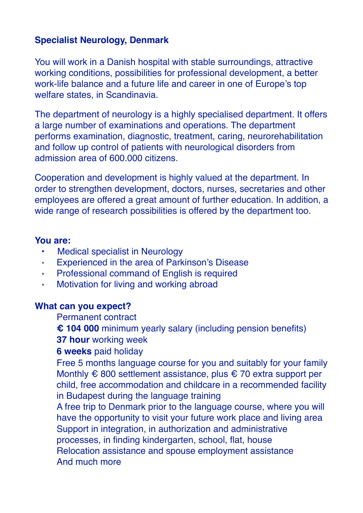## **Specialist Neurology, Denmark**

You will work in a Danish hospital with stable surroundings, attractive working conditions, possibilities for professional development, a better work-life balance and a future life and career in one of Europe's top welfare states, in Scandinavia.

The department of neurology is a highly specialised department. It offers a large number of examinations and operations. The department performs examination, diagnostic, treatment, caring, neurorehabilitation and follow up control of patients with neurological disorders from admission area of 600.000 citizens.

Cooperation and development is highly valued at the department. In order to strengthen development, doctors, nurses, secretaries and other employees are offered a great amount of further education. In addition, a wide range of research possibilities is offered by the department too.

## **You are:**

- Medical specialist in Neurology
- Experienced in the area of Parkinson's Disease
- Professional command of English is required
- Motivation for living and working abroad

## **What can you expect?**

Permanent contract

• **€ 104 000** minimum yearly salary (including pension benefits)

**37 hour** working week

• **6 weeks** paid holiday

• Free 5 months language course for you and suitably for your family Monthly  $\epsilon$  800 settlement assistance, plus  $\epsilon$  70 extra support per child, free accommodation and childcare in a recommended facility in Budapest during the language training

• A free trip to Denmark prior to the language course, where you will have the opportunity to visit your future work place and living area • Support in integration, in authorization and administrative processes, in finding kindergarten, school, flat, house • Relocation assistance and spouse employment assistance • And much more